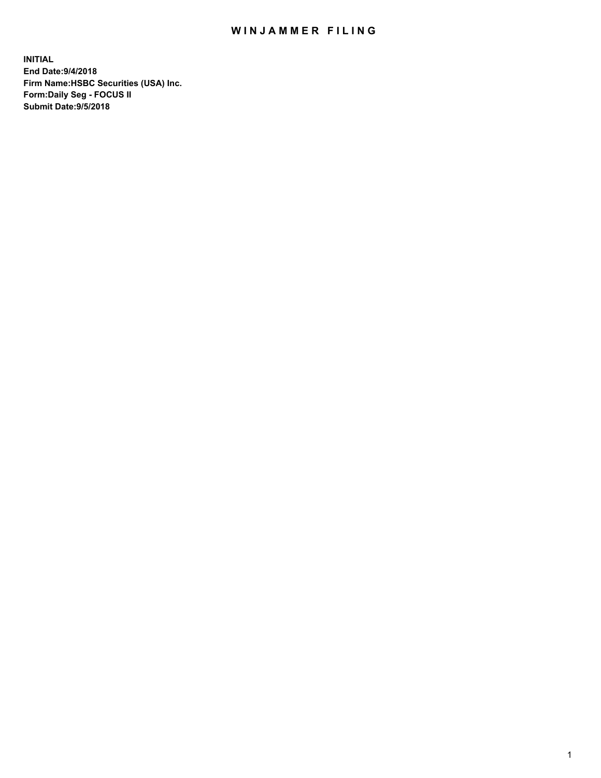## WIN JAMMER FILING

**INITIAL End Date:9/4/2018 Firm Name:HSBC Securities (USA) Inc. Form:Daily Seg - FOCUS II Submit Date:9/5/2018**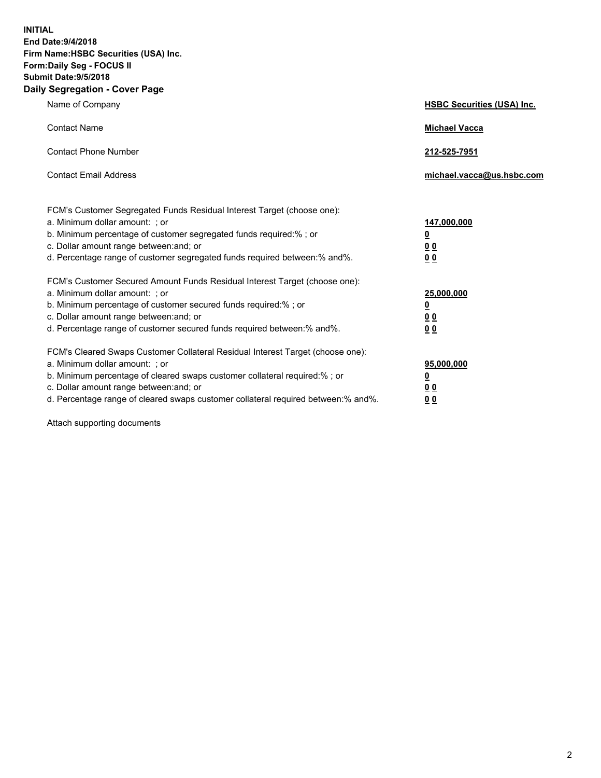**INITIAL End Date:9/4/2018 Firm Name:HSBC Securities (USA) Inc. Form:Daily Seg - FOCUS II Submit Date:9/5/2018 Daily Segregation - Cover Page**

| Name of Company                                                                                                                                                                                                                                                                                                                | <b>HSBC Securities (USA) Inc.</b>                    |
|--------------------------------------------------------------------------------------------------------------------------------------------------------------------------------------------------------------------------------------------------------------------------------------------------------------------------------|------------------------------------------------------|
| <b>Contact Name</b>                                                                                                                                                                                                                                                                                                            | <b>Michael Vacca</b>                                 |
| <b>Contact Phone Number</b>                                                                                                                                                                                                                                                                                                    | 212-525-7951                                         |
| <b>Contact Email Address</b>                                                                                                                                                                                                                                                                                                   | michael.vacca@us.hsbc.com                            |
| FCM's Customer Segregated Funds Residual Interest Target (choose one):<br>a. Minimum dollar amount: ; or<br>b. Minimum percentage of customer segregated funds required:% ; or<br>c. Dollar amount range between: and; or<br>d. Percentage range of customer segregated funds required between:% and%.                         | 147,000,000<br>₫<br>0 <sub>0</sub><br>0 <sub>0</sub> |
| FCM's Customer Secured Amount Funds Residual Interest Target (choose one):<br>a. Minimum dollar amount: ; or<br>b. Minimum percentage of customer secured funds required:% ; or<br>c. Dollar amount range between: and; or<br>d. Percentage range of customer secured funds required between:% and%.                           | 25,000,000<br><u>0</u><br>0 <sub>0</sub><br>00       |
| FCM's Cleared Swaps Customer Collateral Residual Interest Target (choose one):<br>a. Minimum dollar amount: ; or<br>b. Minimum percentage of cleared swaps customer collateral required:% ; or<br>c. Dollar amount range between: and; or<br>d. Percentage range of cleared swaps customer collateral required between:% and%. | 95,000,000<br><u>0</u><br><u>00</u><br>00            |

Attach supporting documents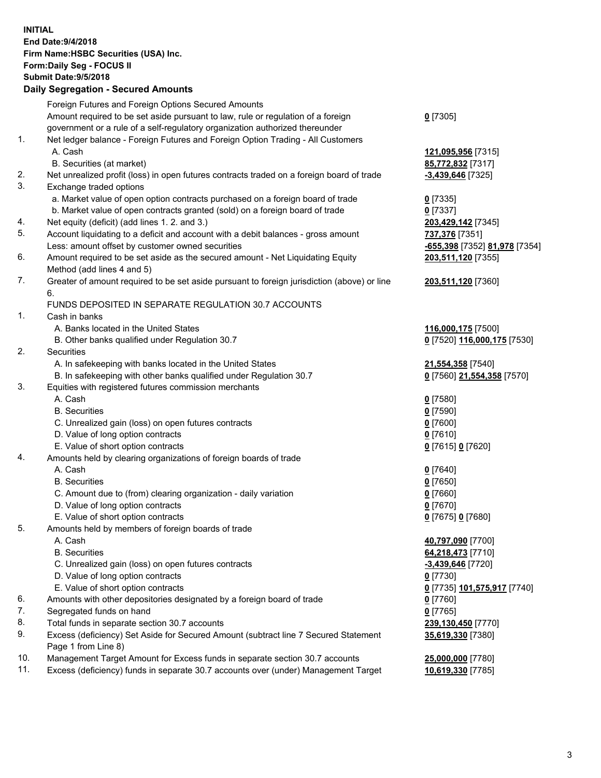**INITIAL End Date:9/4/2018 Firm Name:HSBC Securities (USA) Inc. Form:Daily Seg - FOCUS II Submit Date:9/5/2018 Daily Segregation - Secured Amounts** Foreign Futures and Foreign Options Secured Amounts Amount required to be set aside pursuant to law, rule or regulation of a foreign government or a rule of a self-regulatory organization authorized thereunder **0** [7305] 1. Net ledger balance - Foreign Futures and Foreign Option Trading - All Customers A. Cash **121,095,956** [7315] B. Securities (at market) **85,772,832** [7317] 2. Net unrealized profit (loss) in open futures contracts traded on a foreign board of trade **-3,439,646** [7325] 3. Exchange traded options a. Market value of open option contracts purchased on a foreign board of trade **0** [7335] b. Market value of open contracts granted (sold) on a foreign board of trade **0** [7337] 4. Net equity (deficit) (add lines 1. 2. and 3.) **203,429,142** [7345] 5. Account liquidating to a deficit and account with a debit balances - gross amount **737,376** [7351] Less: amount offset by customer owned securities **-655,398** [7352] **81,978** [7354] 6. Amount required to be set aside as the secured amount - Net Liquidating Equity Method (add lines 4 and 5) **203,511,120** [7355] 7. Greater of amount required to be set aside pursuant to foreign jurisdiction (above) or line 6. **203,511,120** [7360] FUNDS DEPOSITED IN SEPARATE REGULATION 30.7 ACCOUNTS 1. Cash in banks A. Banks located in the United States **116,000,175** [7500] B. Other banks qualified under Regulation 30.7 **0** [7520] **116,000,175** [7530] 2. Securities A. In safekeeping with banks located in the United States **21,554,358** [7540] B. In safekeeping with other banks qualified under Regulation 30.7 **0** [7560] **21,554,358** [7570] 3. Equities with registered futures commission merchants A. Cash **0** [7580] B. Securities **0** [7590] C. Unrealized gain (loss) on open futures contracts **0** [7600] D. Value of long option contracts **0** [7610] E. Value of short option contracts **0** [7615] **0** [7620] 4. Amounts held by clearing organizations of foreign boards of trade A. Cash **0** [7640] B. Securities **0** [7650] C. Amount due to (from) clearing organization - daily variation **0** [7660] D. Value of long option contracts **0** [7670] E. Value of short option contracts **0** [7675] **0** [7680] 5. Amounts held by members of foreign boards of trade A. Cash **40,797,090** [7700] B. Securities **64,218,473** [7710] C. Unrealized gain (loss) on open futures contracts **-3,439,646** [7720] D. Value of long option contracts **0** [7730] E. Value of short option contracts **0** [7735] **101,575,917** [7740] 6. Amounts with other depositories designated by a foreign board of trade **0** [7760] 7. Segregated funds on hand **0** [7765] 8. Total funds in separate section 30.7 accounts **239,130,450** [7770] 9. Excess (deficiency) Set Aside for Secured Amount (subtract line 7 Secured Statement Page 1 from Line 8) **35,619,330** [7380] 10. Management Target Amount for Excess funds in separate section 30.7 accounts **25,000,000** [7780] 11. Excess (deficiency) funds in separate 30.7 accounts over (under) Management Target **10,619,330** [7785]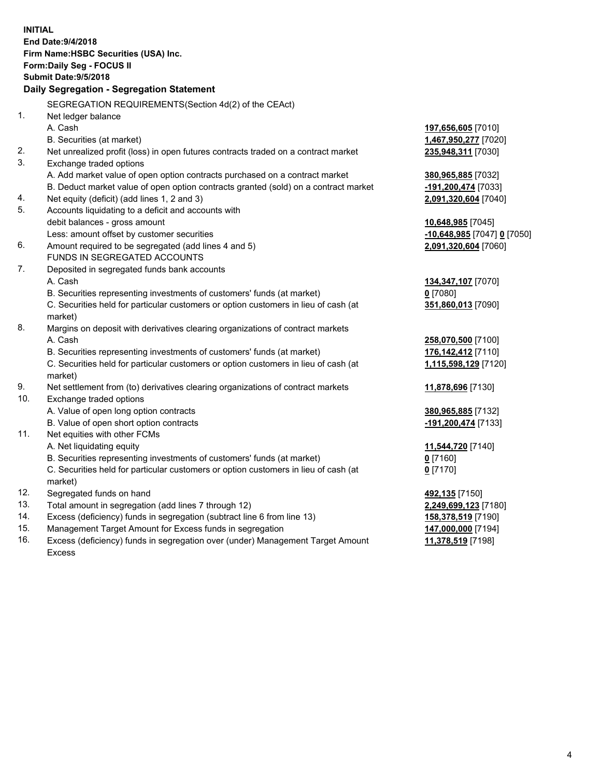|     | <b>INITIAL</b><br>End Date: 9/4/2018                                                           |                             |
|-----|------------------------------------------------------------------------------------------------|-----------------------------|
|     | Firm Name: HSBC Securities (USA) Inc.                                                          |                             |
|     | Form: Daily Seg - FOCUS II                                                                     |                             |
|     | <b>Submit Date: 9/5/2018</b>                                                                   |                             |
|     | Daily Segregation - Segregation Statement                                                      |                             |
|     | SEGREGATION REQUIREMENTS(Section 4d(2) of the CEAct)                                           |                             |
| 1.  | Net ledger balance                                                                             |                             |
|     | A. Cash                                                                                        | 197,656,605 [7010]          |
|     | B. Securities (at market)                                                                      | 1,467,950,277 [7020]        |
| 2.  | Net unrealized profit (loss) in open futures contracts traded on a contract market             | 235,948,311 [7030]          |
| 3.  | Exchange traded options                                                                        |                             |
|     | A. Add market value of open option contracts purchased on a contract market                    | 380,965,885 [7032]          |
|     | B. Deduct market value of open option contracts granted (sold) on a contract market            | -191,200,474 [7033]         |
| 4.  | Net equity (deficit) (add lines 1, 2 and 3)                                                    | 2,091,320,604 [7040]        |
| 5.  | Accounts liquidating to a deficit and accounts with                                            |                             |
|     | debit balances - gross amount                                                                  | 10,648,985 [7045]           |
|     | Less: amount offset by customer securities                                                     | -10,648,985 [7047] 0 [7050] |
| 6.  | Amount required to be segregated (add lines 4 and 5)                                           | 2,091,320,604 [7060]        |
|     | FUNDS IN SEGREGATED ACCOUNTS                                                                   |                             |
| 7.  | Deposited in segregated funds bank accounts                                                    |                             |
|     | A. Cash                                                                                        | 134, 347, 107 [7070]        |
|     | B. Securities representing investments of customers' funds (at market)                         | 0 [7080]                    |
|     | C. Securities held for particular customers or option customers in lieu of cash (at            | 351,860,013 [7090]          |
|     | market)                                                                                        |                             |
| 8.  | Margins on deposit with derivatives clearing organizations of contract markets                 |                             |
|     | A. Cash                                                                                        | 258,070,500 [7100]          |
|     | B. Securities representing investments of customers' funds (at market)                         | 176,142,412 [7110]          |
|     | C. Securities held for particular customers or option customers in lieu of cash (at<br>market) | 1,115,598,129 [7120]        |
| 9.  | Net settlement from (to) derivatives clearing organizations of contract markets                | 11,878,696 [7130]           |
| 10. | Exchange traded options                                                                        |                             |
|     | A. Value of open long option contracts                                                         | 380,965,885 [7132]          |
|     | B. Value of open short option contracts                                                        | -191,200,474 [7133]         |
| 11. | Net equities with other FCMs                                                                   |                             |
|     | A. Net liquidating equity                                                                      | 11,544,720 [7140]           |
|     | B. Securities representing investments of customers' funds (at market)                         | $0$ [7160]                  |
|     | C. Securities held for particular customers or option customers in lieu of cash (at            | $0$ [7170]                  |
|     | market)                                                                                        |                             |
| 12. | Segregated funds on hand                                                                       | 492,135 [7150]              |
| 13. | Total amount in segregation (add lines 7 through 12)                                           | 2,249,699,123 [7180]        |
| 14. | Excess (deficiency) funds in segregation (subtract line 6 from line 13)                        | 158,378,519 [7190]          |
| 15. | Management Target Amount for Excess funds in segregation                                       | 147,000,000 [7194]          |
| 16. | Excess (deficiency) funds in segregation over (under) Management Target Amount                 | 11,378,519 [7198]           |

16. Excess (deficiency) funds in segregation over (under) Management Target Amount Excess

4